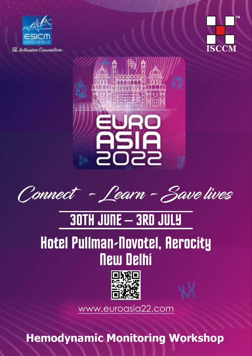





**Connect - Learn - Save lives**

## 30TH JUNE – 3RD JULY

## Hotel Pullman-Novotel, Aerocity New Delhi



[www.euroasia22.com](https://www.euroasia22.com/)

**Hemodynamic Monitoring Workshop**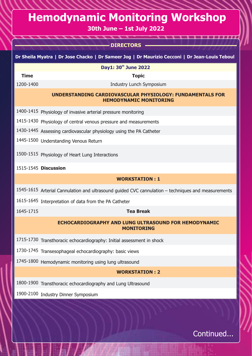## **Hemodynamic Monitoring Workshop**

**30th June – 1st July 2022**

|             | <b>- DIRECTORS</b>                                                                                 |
|-------------|----------------------------------------------------------------------------------------------------|
|             | Dr Sheila Myatra   Dr Jose Chacko   Dr Sameer Jog   Dr Maurizio Cecconi   Dr Jean-Louis Teboul     |
|             | Day1: 30th June 2022                                                                               |
| <b>Time</b> | <b>Topic</b>                                                                                       |
| 1200-1400   | Industry Lunch Symposium                                                                           |
|             | UNDERSTANDING CARDIOVASCULAR PHYSIOLOGY: FUNDAMENTALS FOR<br><b>HEMODYNAMIC MONITORING</b>         |
|             | 1400-1415 Physiology of invasive arterial pressure monitoring                                      |
|             | 1415-1430 Physiology of central venous pressure and measurements                                   |
|             | 1430-1445 Assessing cardiovascular physiology using the PA Catheter                                |
|             | 1445-1500 Understanding Venous Return                                                              |
|             | 1500-1515 Physiology of Heart Lung Interactions                                                    |
|             | 1515-1545 Discussion                                                                               |
|             | <b>WORKSTATION: 1</b>                                                                              |
|             | 1545-1615 Arterial Cannulation and ultrasound guided CVC cannulation - techniques and measurements |
|             | 1615-1645 Interpretation of data from the PA Catheter                                              |
| 1645-1715   | <b>Tea Break</b>                                                                                   |
|             | <b>ECHOCARDIOGRAPHY AND LUNG ULTRASOUND FOR HEMODYNAMIC</b><br><b>MONITORING</b>                   |
|             | 1715-1730 Transthoracic echocardiography: Initial assessment in shock                              |
|             | 1730-1745 Transesophageal echocardiography: basic views                                            |
|             | 1745-1800 Hemodynamic monitoring using lung ultrasound                                             |
|             | <b>WORKSTATION: 2</b>                                                                              |
|             | 1800-1900 Transthoracic echocardiography and Lung Ultrasound                                       |
|             | 1900-2100 Industry Dinner Symposium                                                                |
|             |                                                                                                    |

Continued...